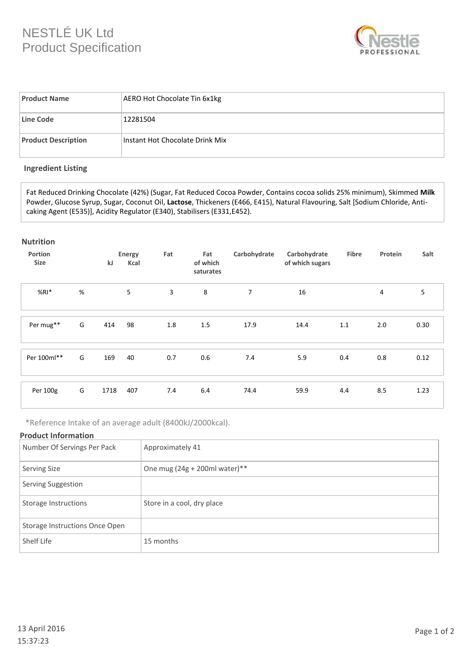# NESTLÉ UK Ltd Product Specification



| <b>Product Name</b>        | AERO Hot Chocolate Tin 6x1kg    |
|----------------------------|---------------------------------|
| Line Code                  | 12281504                        |
| <b>Product Description</b> | Instant Hot Chocolate Drink Mix |

## **Ingredient Listing**

Fat Reduced Drinking Chocolate (42%) (Sugar, Fat Reduced Cocoa Powder, Contains cocoa solids 25% minimum), Skimmed **Milk**  Powder, Glucose Syrup, Sugar, Coconut Oil, **Lactose**, Thickeners (E466, E415), Natural Flavouring, Salt [Sodium Chloride, Anticaking Agent (E535)], Acidity Regulator (E340), Stabilisers (E331,E452).

### **Nutrition**

| Portion<br><b>Size</b> |      | kJ   | Energy<br>Kcal | Fat | Fat<br>of which<br>saturates | Carbohydrate | Carbohydrate<br>of which sugars | Fibre | Protein | Salt |
|------------------------|------|------|----------------|-----|------------------------------|--------------|---------------------------------|-------|---------|------|
| $%RI*$                 | $\%$ |      | 5              | 3   | 8                            | 7            | 16                              |       | 4       | 5    |
| Per mug**              | G    | 414  | 98             | 1.8 | 1.5                          | 17.9         | 14.4                            | 1.1   | 2.0     | 0.30 |
| Per 100ml**            | G    | 169  | 40             | 0.7 | 0.6                          | 7.4          | 5.9                             | 0.4   | 0.8     | 0.12 |
| Per 100g               | G    | 1718 | 407            | 7.4 | 6.4                          | 74.4         | 59.9                            | 4.4   | 8.5     | 1.23 |

\*Reference Intake of an average adult (8400kJ/2000kcal).

## **Product Information**

| Number Of Servings Per Pack    | Approximately 41                |
|--------------------------------|---------------------------------|
| <b>Serving Size</b>            | One mug $(24g + 200ml$ water)** |
| Serving Suggestion             |                                 |
| Storage Instructions           | Store in a cool, dry place      |
| Storage Instructions Once Open |                                 |
| Shelf Life                     | 15 months                       |